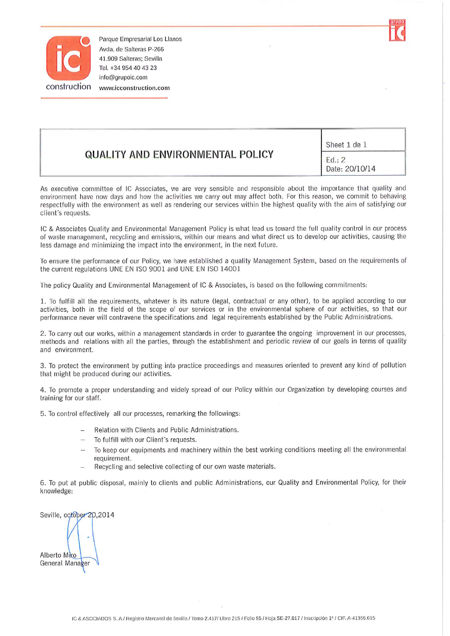

Parque Empresarial Los Llanos Avda, de Salteras P-266 41.909 Salteras; Sevilla Tel. +34 954 40 43 23 info@grupoic.com www.icconstruction.com

| <b>QUALITY AND ENVIRONMENTAL POLICY</b> | Sheet 1 de 1             |
|-----------------------------------------|--------------------------|
|                                         | Ed.: 2<br>Date: 20/10/14 |

As executive committee of IC Associates, we are very sensible and responsible about the importance that quality and environment have now days and how the activities we carry out may affect both. For this reason, we commit to behaving respectfully with the environment as well as rendering our services within the highest quality with the aim of satisfying our client's requests.

IC & Associates Quality and Environmental Management Policy is what lead us toward the full quality control in our process of waste management, recycling and emissions, within our means and what direct us to develop our activities, causing the less damage and minimizing the impact into the environment, in the next future.

To ensure the performance of our Policy, we have established a quality Management System, based on the requirements of the current regulations UNE EN ISO 9001 and UNE EN ISO 14001

The policy Quality and Environmental Management of IC & Associates, is based on the following commitments:

1. To fulfill all the requirements, whatever is its nature (legal, contractual or any other), to be applied according to our activities, both in the field of the scope of our services or in the environmental sphere of our activities, so that our performance never will contravene the specifications and legal requirements established by the Public Administrations.

2. To carry out our works, within a management standards in order to guarantee the ongoing improvement in our processes, methods and relations with all the parties, through the establishment and periodic review of our goals in terms of quality and environment.

3. To protect the environment by putting into practice proceedings and measures oriented to prevent any kind of pollution that might be produced during our activities.

4. To promote a proper understanding and widely spread of our Policy within our Organization by developing courses and training for our staff.

5. To control effectively all our processes, remarking the followings:

- Relation with Clients and Public Administrations.
- To fulfill with our Client's requests.
- To keep our equipments and machinery within the best working conditions meeting all the environmental requirement.
- Recycling and selective collecting of our own waste materials.

6. To put at public disposal, mainly to clients and public Administrations, our Quality and Environmental Policy, for their knowledge:

Seville, october 20,2014 Alberto Mico General Manager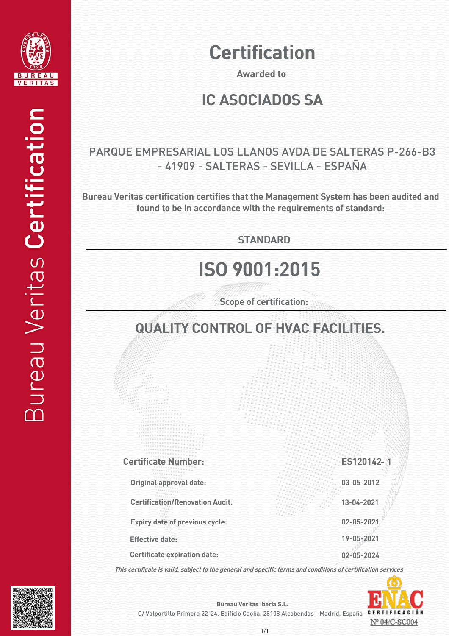

# **Certification**

Awarded to

#### IC ASOCIADOS SA

#### PARQUE EMPRESARIAL LOS LLANOS AVDA DE SALTERAS P-266-B3 - 41909 - SALTERAS - SEVILLA - ESPAÑA

Bureau Veritas certification certifies that the Management System has been audited and found to be in accordance with the requirements of standard:

**STANDARD** 

# ISO 9001:2015

Scope of certification:

### QUALITY CONTROL OF HVAC FACILITIES.

Certification/Renovation Audit: 13-04-2021 Original approval date: - <sup>1</sup> Certificate Number: Certificate expiration date: Effective date: 19-05-2021 02-05-2024 Expiry date of previous cycle: 02-05-2021 03-05-2012 ES120142

This certificate is valid, subject to the general and specific terms and conditions of certification services





Bureau Veritas Iberia S.L.

C/ Valportillo Primera 22-24, Edificio Caoba, 28108 Alcobendas - Madrid, España CER